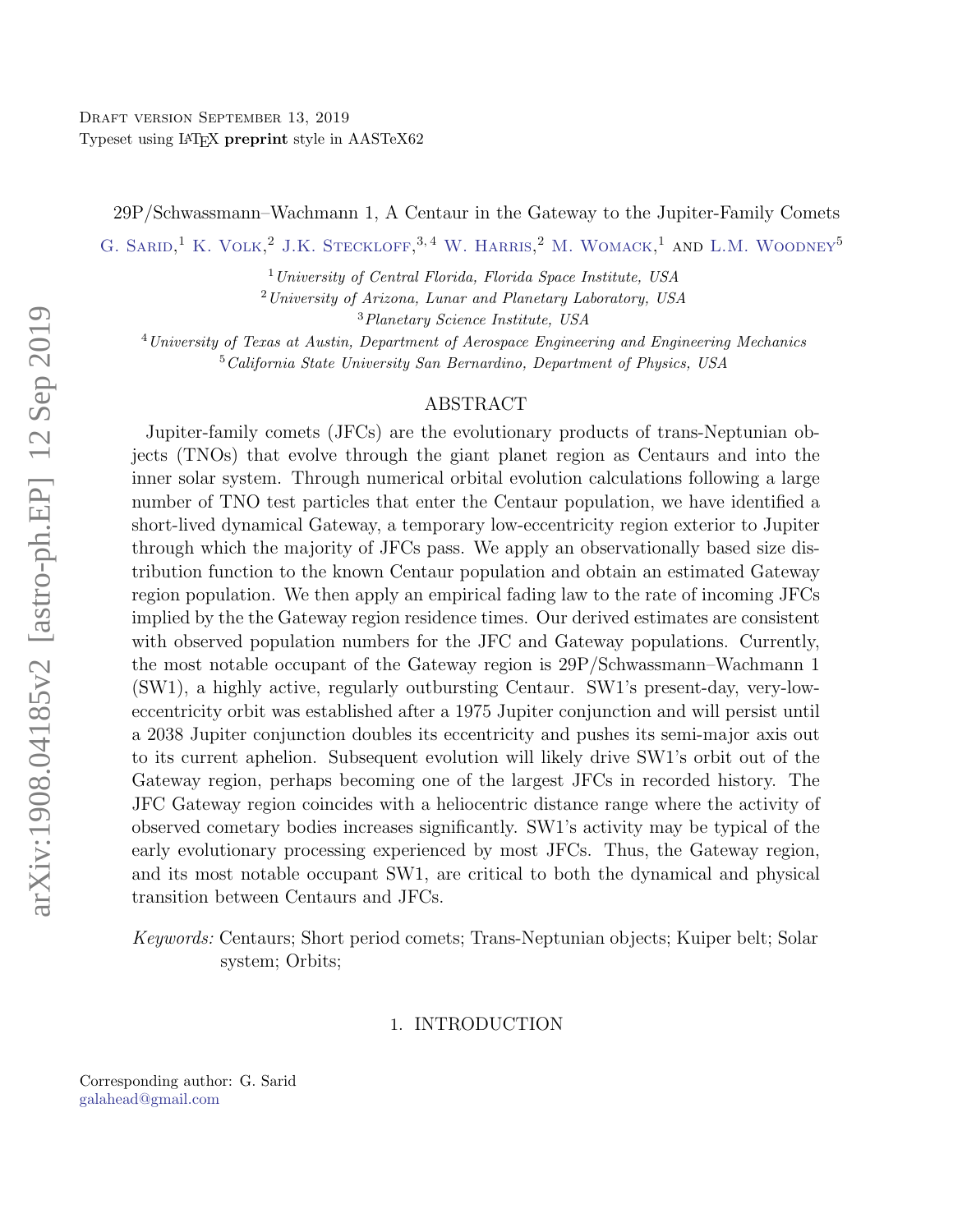29P/Schwassmann–Wachmann 1, A Centaur in the Gateway to the Jupiter-Family Comets

G. SARID,<sup>1</sup> K. VOLK,<sup>2</sup> J.K. STECKLOFF,<sup>3,4</sup> W. HARRIS,<sup>2</sup> M. WOMACK,<sup>1</sup> AND L.M. WOODNEY<sup>5</sup>

 $1$ University of Central Florida, Florida Space Institute, USA

<sup>2</sup>University of Arizona, Lunar and Planetary Laboratory, USA

<sup>3</sup>Planetary Science Institute, USA

<sup>4</sup> University of Texas at Austin, Department of Aerospace Engineering and Engineering Mechanics <sup>5</sup>California State University San Bernardino, Department of Physics, USA

## ABSTRACT

Jupiter-family comets (JFCs) are the evolutionary products of trans-Neptunian objects (TNOs) that evolve through the giant planet region as Centaurs and into the inner solar system. Through numerical orbital evolution calculations following a large number of TNO test particles that enter the Centaur population, we have identified a short-lived dynamical Gateway, a temporary low-eccentricity region exterior to Jupiter through which the majority of JFCs pass. We apply an observationally based size distribution function to the known Centaur population and obtain an estimated Gateway region population. We then apply an empirical fading law to the rate of incoming JFCs implied by the the Gateway region residence times. Our derived estimates are consistent with observed population numbers for the JFC and Gateway populations. Currently, the most notable occupant of the Gateway region is 29P/Schwassmann–Wachmann 1 (SW1), a highly active, regularly outbursting Centaur. SW1's present-day, very-loweccentricity orbit was established after a 1975 Jupiter conjunction and will persist until a 2038 Jupiter conjunction doubles its eccentricity and pushes its semi-major axis out to its current aphelion. Subsequent evolution will likely drive SW1's orbit out of the Gateway region, perhaps becoming one of the largest JFCs in recorded history. The JFC Gateway region coincides with a heliocentric distance range where the activity of observed cometary bodies increases significantly. SW1's activity may be typical of the early evolutionary processing experienced by most JFCs. Thus, the Gateway region, and its most notable occupant SW1, are critical to both the dynamical and physical transition between Centaurs and JFCs.

Keywords: Centaurs; Short period comets; Trans-Neptunian objects; Kuiper belt; Solar system; Orbits;

### 1. INTRODUCTION

<span id="page-0-2"></span><span id="page-0-1"></span><span id="page-0-0"></span>Corresponding author: G. Sarid [galahead@gmail.com](mailto: galahead@gmail.com)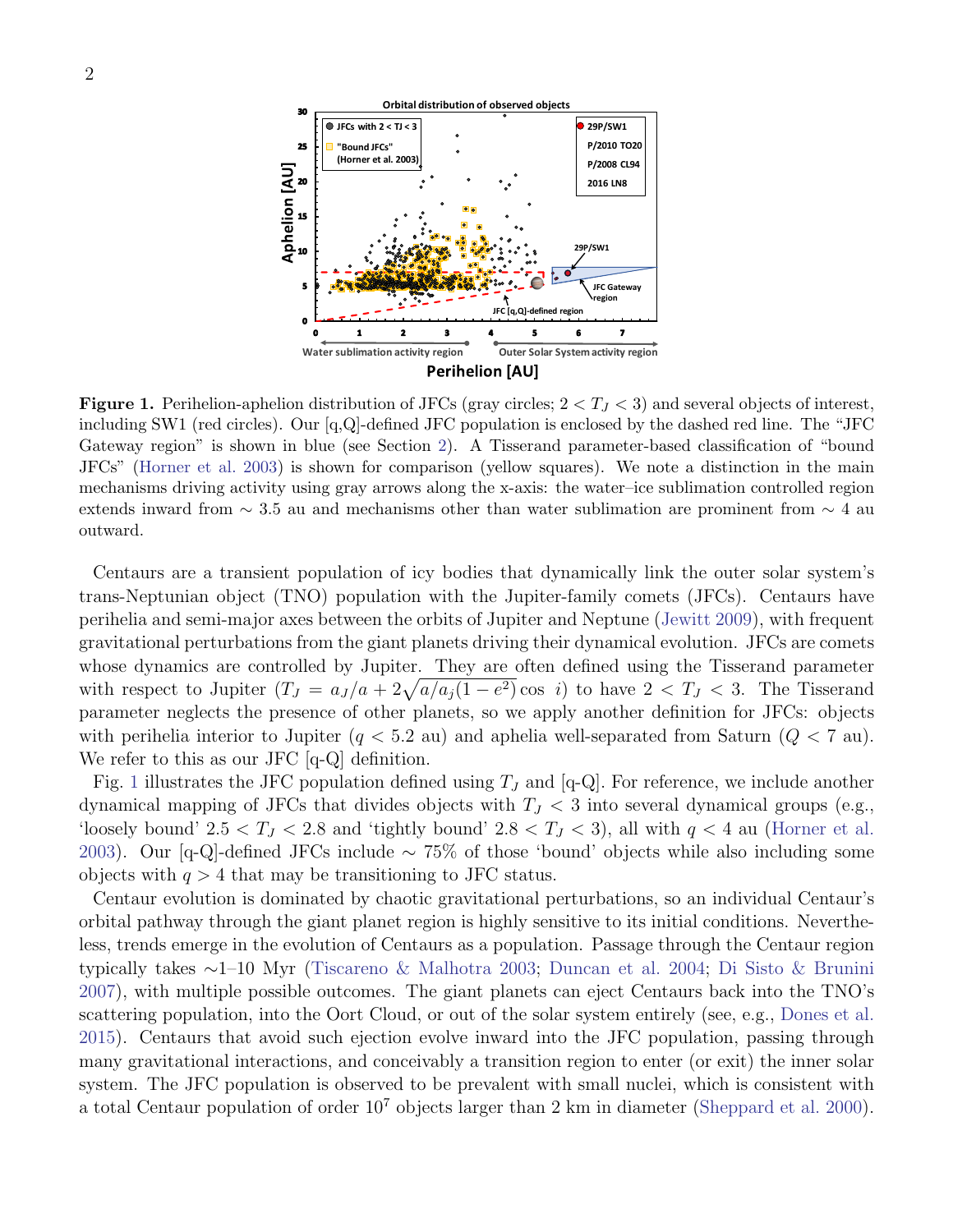

<span id="page-1-0"></span>**Figure 1.** Perihelion-aphelion distribution of JFCs (gray circles;  $2 < T<sub>J</sub> < 3$ ) and several objects of interest, including SW1 (red circles). Our  $[q,Q]$ -defined JFC population is enclosed by the dashed red line. The "JFC Gateway region" is shown in blue (see Section [2\)](#page-3-0). A Tisserand parameter-based classification of "bound JFCs" [\(Horner et al.](#page-11-0) [2003\)](#page-11-0) is shown for comparison (yellow squares). We note a distinction in the main mechanisms driving activity using gray arrows along the x-axis: the water–ice sublimation controlled region extends inward from  $\sim 3.5$  au and mechanisms other than water sublimation are prominent from  $\sim 4$  au outward.

Centaurs are a transient population of icy bodies that dynamically link the outer solar system's trans-Neptunian object (TNO) population with the Jupiter-family comets (JFCs). Centaurs have perihelia and semi-major axes between the orbits of Jupiter and Neptune [\(Jewitt](#page-11-1) [2009\)](#page-11-1), with frequent gravitational perturbations from the giant planets driving their dynamical evolution. JFCs are comets whose dynamics are controlled by Jupiter. They are often defined using the Tisserand parameter with respect to Jupiter  $(T_J = a_J/a + 2\sqrt{a/a_j(1-e^2)}\cos i)$  to have  $2 < T_J < 3$ . The Tisserand parameter neglects the presence of other planets, so we apply another definition for JFCs: objects with perihelia interior to Jupiter  $(q < 5.2 \text{ au})$  and aphelia well-separated from Saturn  $(Q < 7 \text{ au})$ . We refer to this as our JFC [q-Q] definition.

Fig. [1](#page-1-0) illustrates the JFC population defined using  $T_J$  and [q-Q]. For reference, we include another dynamical mapping of JFCs that divides objects with  $T_J < 3$  into several dynamical groups (e.g., 'loosely bound'  $2.5 < T_J < 2.8$  and 'tightly bound'  $2.8 < T_J < 3$ ), all with  $q < 4$  au [\(Horner et al.](#page-11-0) [2003\)](#page-11-0). Our [q-Q]-defined JFCs include ∼ 75% of those 'bound' objects while also including some objects with  $q > 4$  that may be transitioning to JFC status.

Centaur evolution is dominated by chaotic gravitational perturbations, so an individual Centaur's orbital pathway through the giant planet region is highly sensitive to its initial conditions. Nevertheless, trends emerge in the evolution of Centaurs as a population. Passage through the Centaur region typically takes ∼1–10 Myr [\(Tiscareno & Malhotra](#page-11-2) [2003;](#page-11-2) [Duncan et al.](#page-10-0) [2004;](#page-10-0) [Di Sisto & Brunini](#page-10-1) [2007\)](#page-10-1), with multiple possible outcomes. The giant planets can eject Centaurs back into the TNO's scattering population, into the Oort Cloud, or out of the solar system entirely (see, e.g., [Dones et al.](#page-10-2) [2015\)](#page-10-2). Centaurs that avoid such ejection evolve inward into the JFC population, passing through many gravitational interactions, and conceivably a transition region to enter (or exit) the inner solar system. The JFC population is observed to be prevalent with small nuclei, which is consistent with a total Centaur population of order  $10^7$  objects larger than 2 km in diameter [\(Sheppard et al.](#page-11-3) [2000\)](#page-11-3).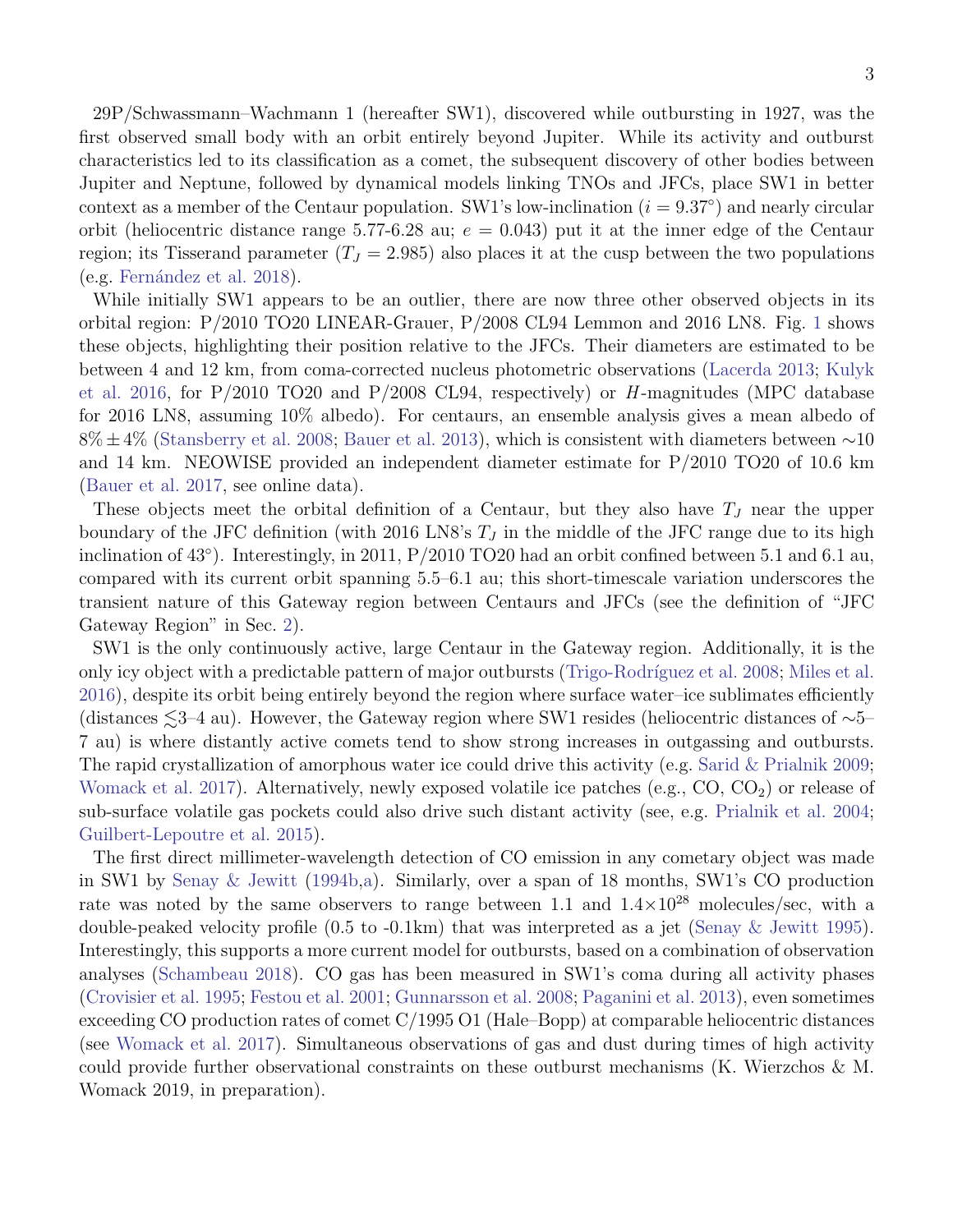29P/Schwassmann–Wachmann 1 (hereafter SW1), discovered while outbursting in 1927, was the first observed small body with an orbit entirely beyond Jupiter. While its activity and outburst characteristics led to its classification as a comet, the subsequent discovery of other bodies between Jupiter and Neptune, followed by dynamical models linking TNOs and JFCs, place SW1 in better context as a member of the Centaur population. SW1's low-inclination  $(i = 9.37°)$  and nearly circular orbit (heliocentric distance range 5.77-6.28 au;  $e = 0.043$ ) put it at the inner edge of the Centaur region; its Tisserand parameter  $(T_J = 2.985)$  also places it at the cusp between the two populations  $(e.g.$  Fernández et al. [2018\)](#page-10-3).

While initially SW1 appears to be an outlier, there are now three other observed objects in its orbital region: P/2010 TO20 LINEAR-Grauer, P/2008 CL94 Lemmon and 2016 LN8. Fig. [1](#page-1-0) shows these objects, highlighting their position relative to the JFCs. Their diameters are estimated to be between 4 and 12 km, from coma-corrected nucleus photometric observations [\(Lacerda](#page-11-4) [2013;](#page-11-4) [Kulyk](#page-11-5) [et al.](#page-11-5) [2016,](#page-11-5) for  $P/2010$  TO20 and  $P/2008$  CL94, respectively) or H-magnitudes (MPC database for 2016 LN8, assuming 10% albedo). For centaurs, an ensemble analysis gives a mean albedo of 8% ±4% [\(Stansberry et al.](#page-11-6) [2008;](#page-11-6) [Bauer et al.](#page-10-4) [2013\)](#page-10-4), which is consistent with diameters between ∼10 and 14 km. NEOWISE provided an independent diameter estimate for P/2010 TO20 of 10.6 km [\(Bauer et al.](#page-10-5) [2017,](#page-10-5) see online data).

These objects meet the orbital definition of a Centaur, but they also have  $T_J$  near the upper boundary of the JFC definition (with 2016 LN8's  $T<sub>J</sub>$  in the middle of the JFC range due to its high inclination of 43◦ ). Interestingly, in 2011, P/2010 TO20 had an orbit confined between 5.1 and 6.1 au, compared with its current orbit spanning 5.5–6.1 au; this short-timescale variation underscores the transient nature of this Gateway region between Centaurs and JFCs (see the definition of "JFC Gateway Region" in Sec. [2\)](#page-3-0).

SW1 is the only continuously active, large Centaur in the Gateway region. Additionally, it is the only icy object with a predictable pattern of major outbursts [\(Trigo-Rodr´ıguez et al.](#page-11-7) [2008;](#page-11-7) [Miles et al.](#page-11-8) [2016\)](#page-11-8), despite its orbit being entirely beyond the region where surface water–ice sublimates efficiently (distances  $\leq 3-4$  au). However, the Gateway region where SW1 resides (heliocentric distances of ∼5– 7 au) is where distantly active comets tend to show strong increases in outgassing and outbursts. The rapid crystallization of amorphous water ice could drive this activity (e.g. [Sarid & Prialnik](#page-11-9) [2009;](#page-11-9) [Womack et al.](#page-11-10) [2017\)](#page-11-10). Alternatively, newly exposed volatile ice patches (e.g.,  $CO$ ,  $CO<sub>2</sub>$ ) or release of sub-surface volatile gas pockets could also drive such distant activity (see, e.g. [Prialnik et al.](#page-11-11) [2004;](#page-11-11) [Guilbert-Lepoutre et al.](#page-11-12) [2015\)](#page-11-12).

The first direct millimeter-wavelength detection of CO emission in any cometary object was made in SW1 by [Senay & Jewitt](#page-11-13) [\(1994b,](#page-11-13)[a\)](#page-11-14). Similarly, over a span of 18 months, SW1's CO production rate was noted by the same observers to range between 1.1 and  $1.4 \times 10^{28}$  molecules/sec, with a double-peaked velocity profile (0.5 to -0.1km) that was interpreted as a jet [\(Senay & Jewitt](#page-11-15) [1995\)](#page-11-15). Interestingly, this supports a more current model for outbursts, based on a combination of observation analyses [\(Schambeau](#page-11-16) [2018\)](#page-11-16). CO gas has been measured in SW1's coma during all activity phases [\(Crovisier et al.](#page-10-6) [1995;](#page-10-6) [Festou et al.](#page-10-7) [2001;](#page-10-7) [Gunnarsson et al.](#page-11-17) [2008;](#page-11-17) [Paganini et al.](#page-11-18) [2013\)](#page-11-18), even sometimes exceeding CO production rates of comet C/1995 O1 (Hale–Bopp) at comparable heliocentric distances (see [Womack et al.](#page-11-10) [2017\)](#page-11-10). Simultaneous observations of gas and dust during times of high activity could provide further observational constraints on these outburst mechanisms (K. Wierzchos & M. Womack 2019, in preparation).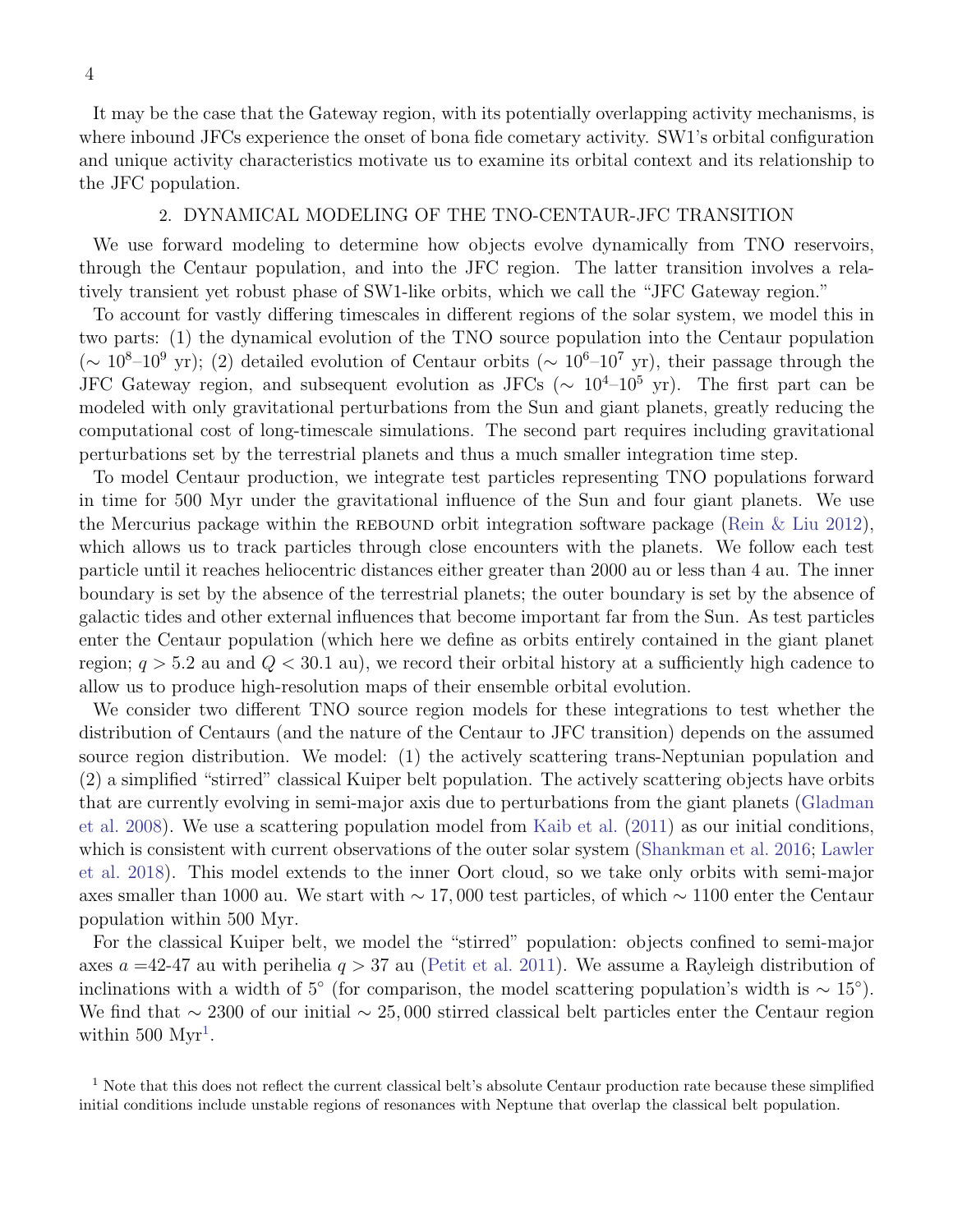It may be the case that the Gateway region, with its potentially overlapping activity mechanisms, is where inbound JFCs experience the onset of bona fide cometary activity. SW1's orbital configuration and unique activity characteristics motivate us to examine its orbital context and its relationship to the JFC population.

### 2. DYNAMICAL MODELING OF THE TNO-CENTAUR-JFC TRANSITION

<span id="page-3-0"></span>We use forward modeling to determine how objects evolve dynamically from TNO reservoirs, through the Centaur population, and into the JFC region. The latter transition involves a relatively transient yet robust phase of SW1-like orbits, which we call the "JFC Gateway region."

To account for vastly differing timescales in different regions of the solar system, we model this in two parts: (1) the dynamical evolution of the TNO source population into the Centaur population  $({\sim 10^8} - 10^9 \text{ yr})$ ; (2) detailed evolution of Centaur orbits  $({\sim 10^6} - 10^7 \text{ yr})$ , their passage through the JFC Gateway region, and subsequent evolution as JFCs ( $\sim 10^{4}$ – $10^{5}$  yr). The first part can be modeled with only gravitational perturbations from the Sun and giant planets, greatly reducing the computational cost of long-timescale simulations. The second part requires including gravitational perturbations set by the terrestrial planets and thus a much smaller integration time step.

To model Centaur production, we integrate test particles representing TNO populations forward in time for 500 Myr under the gravitational influence of the Sun and four giant planets. We use the Mercurius package within the REBOUND orbit integration software package (Rein  $\&$  Liu [2012\)](#page-11-19), which allows us to track particles through close encounters with the planets. We follow each test particle until it reaches heliocentric distances either greater than 2000 au or less than 4 au. The inner boundary is set by the absence of the terrestrial planets; the outer boundary is set by the absence of galactic tides and other external influences that become important far from the Sun. As test particles enter the Centaur population (which here we define as orbits entirely contained in the giant planet region;  $q > 5.2$  au and  $Q < 30.1$  au), we record their orbital history at a sufficiently high cadence to allow us to produce high-resolution maps of their ensemble orbital evolution.

We consider two different TNO source region models for these integrations to test whether the distribution of Centaurs (and the nature of the Centaur to JFC transition) depends on the assumed source region distribution. We model: (1) the actively scattering trans-Neptunian population and (2) a simplified "stirred" classical Kuiper belt population. The actively scattering objects have orbits that are currently evolving in semi-major axis due to perturbations from the giant planets [\(Gladman](#page-11-20) [et al.](#page-11-20) [2008\)](#page-11-20). We use a scattering population model from [Kaib et al.](#page-11-21) [\(2011\)](#page-11-21) as our initial conditions, which is consistent with current observations of the outer solar system [\(Shankman et al.](#page-11-22) [2016;](#page-11-22) [Lawler](#page-11-23) [et al.](#page-11-23) [2018\)](#page-11-23). This model extends to the inner Oort cloud, so we take only orbits with semi-major axes smaller than 1000 au. We start with  $\sim 17,000$  test particles, of which  $\sim 1100$  enter the Centaur population within 500 Myr.

For the classical Kuiper belt, we model the "stirred" population: objects confined to semi-major axes  $a = 42-47$  au with perihelia  $q > 37$  au [\(Petit et al.](#page-11-24) [2011\)](#page-11-24). We assume a Rayleigh distribution of inclinations with a width of 5<sup>°</sup> (for comparison, the model scattering population's width is  $\sim 15^{\circ}$ ). We find that  $\sim 2300$  of our initial  $\sim 25,000$  stirred classical belt particles enter the Centaur region within  $500 \mathrm{Myr}^1$  $500 \mathrm{Myr}^1$ .

<span id="page-3-1"></span><sup>&</sup>lt;sup>1</sup> Note that this does not reflect the current classical belt's absolute Centaur production rate because these simplified initial conditions include unstable regions of resonances with Neptune that overlap the classical belt population.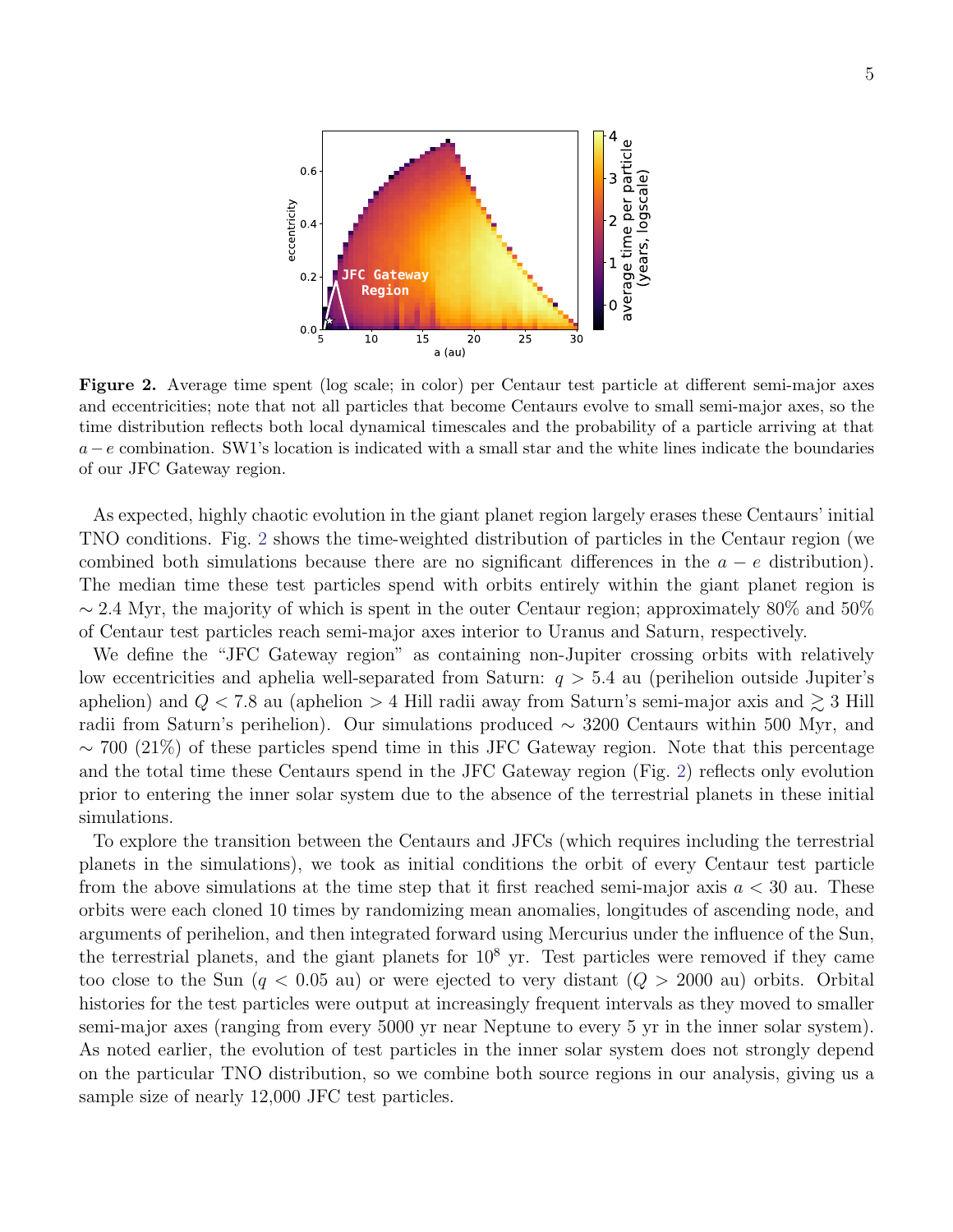

<span id="page-4-0"></span>Figure 2. Average time spent (log scale; in color) per Centaur test particle at different semi-major axes and eccentricities; note that not all particles that become Centaurs evolve to small semi-major axes, so the time distribution reflects both local dynamical timescales and the probability of a particle arriving at that  $a-e$  combination. SW1's location is indicated with a small star and the white lines indicate the boundaries of our JFC Gateway region.

As expected, highly chaotic evolution in the giant planet region largely erases these Centaurs' initial TNO conditions. Fig. [2](#page-4-0) shows the time-weighted distribution of particles in the Centaur region (we combined both simulations because there are no significant differences in the  $a - e$  distribution). The median time these test particles spend with orbits entirely within the giant planet region is  $\sim$  2.4 Myr, the majority of which is spent in the outer Centaur region; approximately 80% and 50% of Centaur test particles reach semi-major axes interior to Uranus and Saturn, respectively.

We define the "JFC Gateway region" as containing non-Jupiter crossing orbits with relatively low eccentricities and aphelia well-separated from Saturn:  $q > 5.4$  au (perihelion outside Jupiter's aphelion) and  $Q < 7.8$  au (aphelion  $> 4$  Hill radii away from Saturn's semi-major axis and  $\geq 3$  Hill radii from Saturn's perihelion). Our simulations produced ∼ 3200 Centaurs within 500 Myr, and  $\sim$  700 (21%) of these particles spend time in this JFC Gateway region. Note that this percentage and the total time these Centaurs spend in the JFC Gateway region (Fig. [2\)](#page-4-0) reflects only evolution prior to entering the inner solar system due to the absence of the terrestrial planets in these initial simulations.

To explore the transition between the Centaurs and JFCs (which requires including the terrestrial planets in the simulations), we took as initial conditions the orbit of every Centaur test particle from the above simulations at the time step that it first reached semi-major axis  $a < 30$  au. These orbits were each cloned 10 times by randomizing mean anomalies, longitudes of ascending node, and arguments of perihelion, and then integrated forward using Mercurius under the influence of the Sun, the terrestrial planets, and the giant planets for  $10<sup>8</sup>$  yr. Test particles were removed if they came too close to the Sun  $(q < 0.05$  au) or were ejected to very distant  $(Q > 2000$  au) orbits. Orbital histories for the test particles were output at increasingly frequent intervals as they moved to smaller semi-major axes (ranging from every 5000 yr near Neptune to every 5 yr in the inner solar system). As noted earlier, the evolution of test particles in the inner solar system does not strongly depend on the particular TNO distribution, so we combine both source regions in our analysis, giving us a sample size of nearly 12,000 JFC test particles.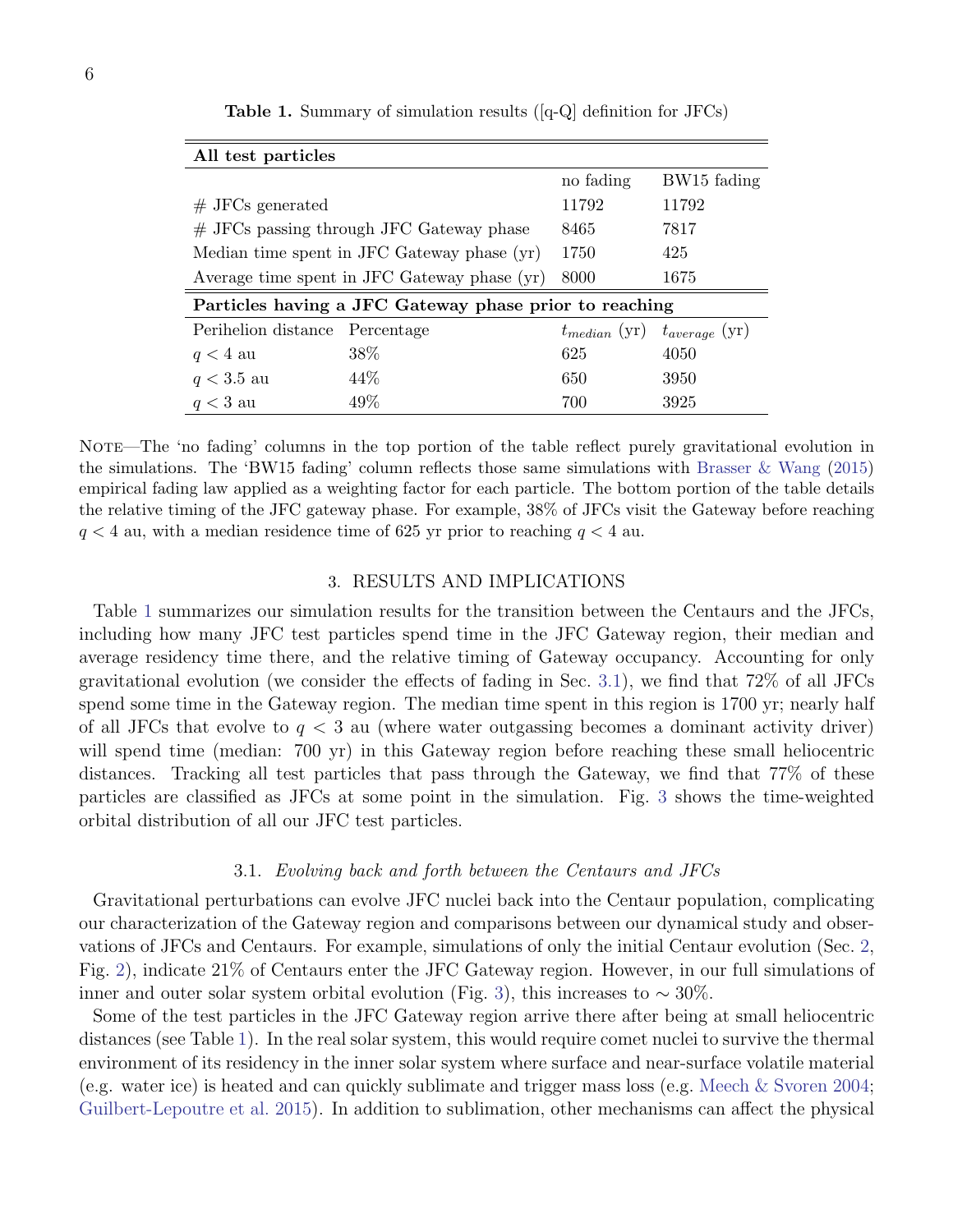| All test particles                                     |            |           |                                      |
|--------------------------------------------------------|------------|-----------|--------------------------------------|
|                                                        |            | no fading | BW <sub>15</sub> fading              |
| $#$ JFCs generated                                     |            | 11792     | 11792                                |
| $#$ JFCs passing through JFC Gateway phase             |            | 8465      | 7817                                 |
| Median time spent in JFC Gateway phase (yr)            |            | 1750      | 425                                  |
| Average time spent in JFC Gateway phase (yr)           |            | 8000      | 1675                                 |
| Particles having a JFC Gateway phase prior to reaching |            |           |                                      |
| Perihelion distance                                    | Percentage |           | $t_{median}$ (yr) $t_{average}$ (yr) |
| $q < 4$ au                                             | 38\%       | 625       | 4050                                 |
| $q < 3.5$ au                                           | 44\%       | 650       | 3950                                 |
| $q < 3$ au                                             | 49\%       | 700       | 3925                                 |

<span id="page-5-0"></span>Table 1. Summary of simulation results ([q-Q] definition for JFCs)

NOTE—The 'no fading' columns in the top portion of the table reflect purely gravitational evolution in the simulations. The 'BW15 fading' column reflects those same simulations with [Brasser & Wang](#page-10-8) [\(2015\)](#page-10-8) empirical fading law applied as a weighting factor for each particle. The bottom portion of the table details the relative timing of the JFC gateway phase. For example, 38% of JFCs visit the Gateway before reaching  $q < 4$  au, with a median residence time of 625 yr prior to reaching  $q < 4$  au.

# 3. RESULTS AND IMPLICATIONS

Table [1](#page-5-0) summarizes our simulation results for the transition between the Centaurs and the JFCs, including how many JFC test particles spend time in the JFC Gateway region, their median and average residency time there, and the relative timing of Gateway occupancy. Accounting for only gravitational evolution (we consider the effects of fading in Sec. [3.1\)](#page-5-1), we find that 72% of all JFCs spend some time in the Gateway region. The median time spent in this region is 1700 yr; nearly half of all JFCs that evolve to  $q < 3$  au (where water outgassing becomes a dominant activity driver) will spend time (median: 700 yr) in this Gateway region before reaching these small heliocentric distances. Tracking all test particles that pass through the Gateway, we find that 77% of these particles are classified as JFCs at some point in the simulation. Fig. [3](#page-6-0) shows the time-weighted orbital distribution of all our JFC test particles.

#### 3.1. Evolving back and forth between the Centaurs and JFCs

<span id="page-5-1"></span>Gravitational perturbations can evolve JFC nuclei back into the Centaur population, complicating our characterization of the Gateway region and comparisons between our dynamical study and observations of JFCs and Centaurs. For example, simulations of only the initial Centaur evolution (Sec. [2,](#page-3-0) Fig. [2\)](#page-4-0), indicate 21% of Centaurs enter the JFC Gateway region. However, in our full simulations of inner and outer solar system orbital evolution (Fig. [3\)](#page-6-0), this increases to  $\sim 30\%$ .

Some of the test particles in the JFC Gateway region arrive there after being at small heliocentric distances (see Table [1\)](#page-5-0). In the real solar system, this would require comet nuclei to survive the thermal environment of its residency in the inner solar system where surface and near-surface volatile material (e.g. water ice) is heated and can quickly sublimate and trigger mass loss (e.g. [Meech & Svoren](#page-11-25) [2004;](#page-11-25) [Guilbert-Lepoutre et al.](#page-11-12) [2015\)](#page-11-12). In addition to sublimation, other mechanisms can affect the physical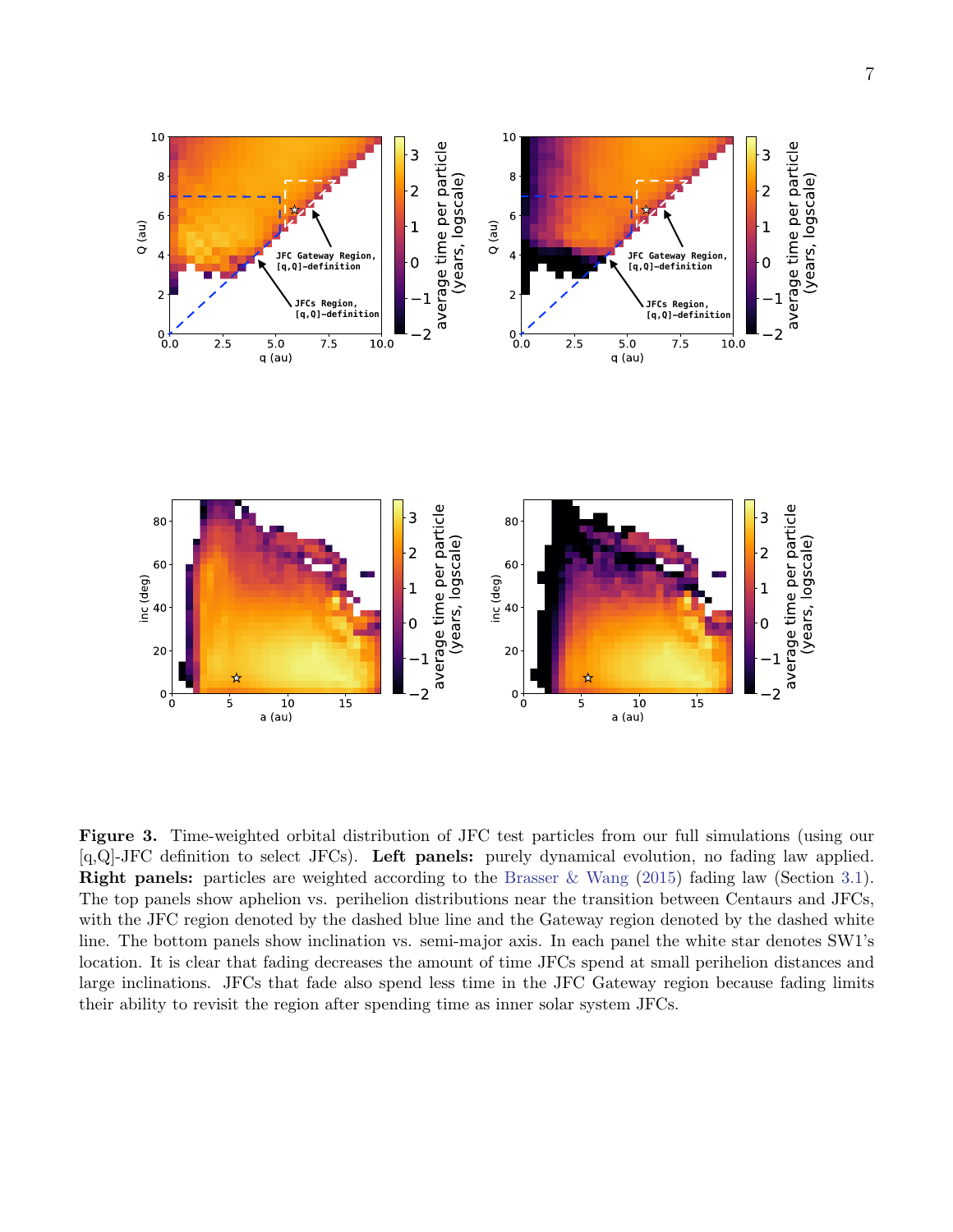

<span id="page-6-0"></span>Figure 3. Time-weighted orbital distribution of JFC test particles from our full simulations (using our [q,Q]-JFC definition to select JFCs). Left panels: purely dynamical evolution, no fading law applied. **Right panels:** particles are weighted according to the [Brasser & Wang](#page-10-8) [\(2015\)](#page-10-8) fading law (Section [3.1\)](#page-5-1). The top panels show aphelion vs. perihelion distributions near the transition between Centaurs and JFCs, with the JFC region denoted by the dashed blue line and the Gateway region denoted by the dashed white line. The bottom panels show inclination vs. semi-major axis. In each panel the white star denotes SW1's location. It is clear that fading decreases the amount of time JFCs spend at small perihelion distances and large inclinations. JFCs that fade also spend less time in the JFC Gateway region because fading limits their ability to revisit the region after spending time as inner solar system JFCs.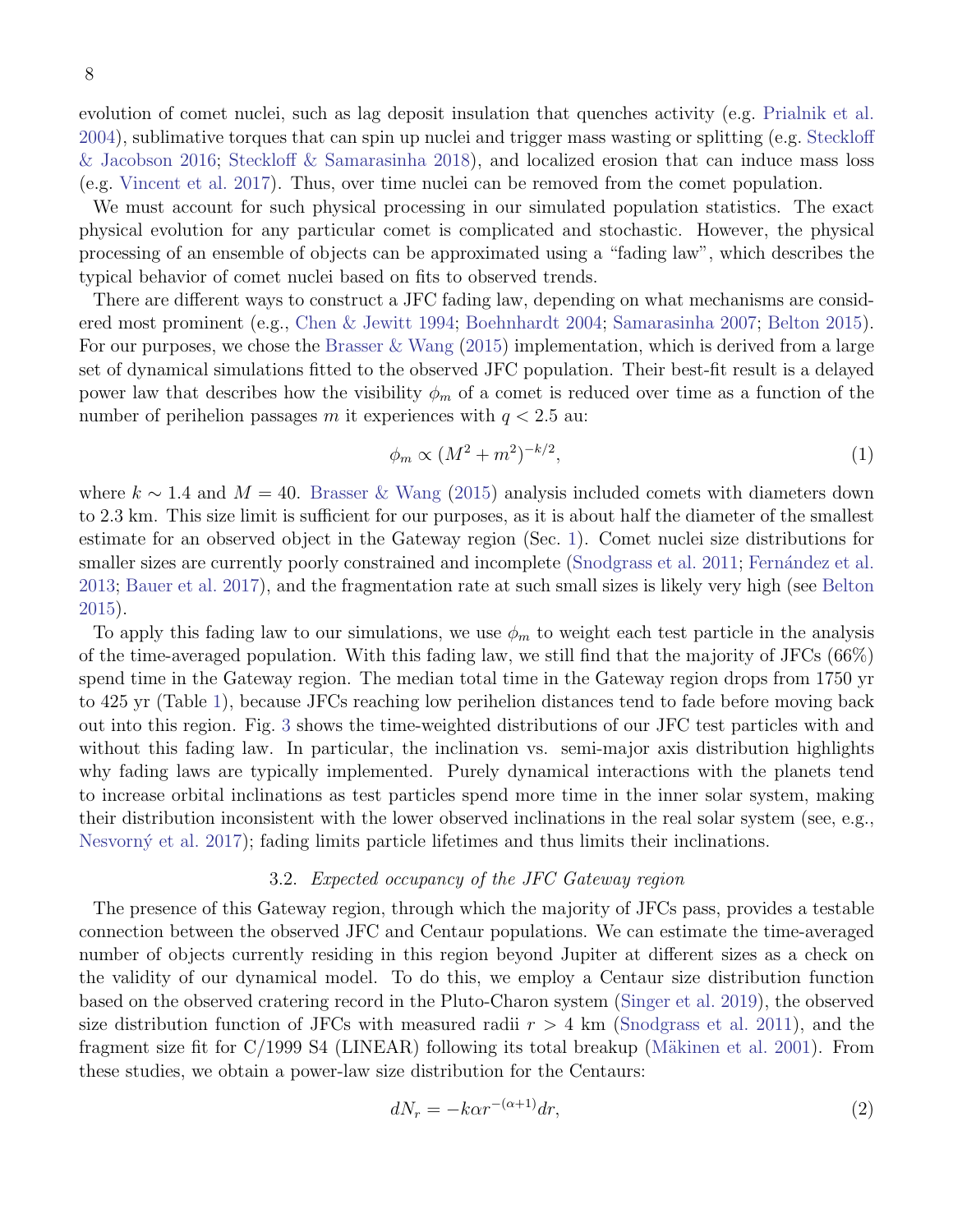8

evolution of comet nuclei, such as lag deposit insulation that quenches activity (e.g. [Prialnik et al.](#page-11-11) [2004\)](#page-11-11), sublimative torques that can spin up nuclei and trigger mass wasting or splitting (e.g. [Steckloff](#page-11-26) [& Jacobson](#page-11-26) [2016;](#page-11-26) [Steckloff & Samarasinha](#page-11-27) [2018\)](#page-11-27), and localized erosion that can induce mass loss (e.g. [Vincent et al.](#page-11-28) [2017\)](#page-11-28). Thus, over time nuclei can be removed from the comet population.

We must account for such physical processing in our simulated population statistics. The exact physical evolution for any particular comet is complicated and stochastic. However, the physical processing of an ensemble of objects can be approximated using a "fading law", which describes the typical behavior of comet nuclei based on fits to observed trends.

There are different ways to construct a JFC fading law, depending on what mechanisms are considered most prominent (e.g., [Chen & Jewitt](#page-10-9) [1994;](#page-10-9) [Boehnhardt](#page-10-10) [2004;](#page-10-10) [Samarasinha](#page-11-29) [2007;](#page-11-29) [Belton](#page-10-11) [2015\)](#page-10-11). For our purposes, we chose the [Brasser & Wang](#page-10-8)  $(2015)$  implementation, which is derived from a large set of dynamical simulations fitted to the observed JFC population. Their best-fit result is a delayed power law that describes how the visibility  $\phi_m$  of a comet is reduced over time as a function of the number of perihelion passages m it experiences with  $q < 2.5$  au:

$$
\phi_m \propto (M^2 + m^2)^{-k/2},\tag{1}
$$

where  $k \sim 1.4$  and  $M = 40$ . [Brasser & Wang](#page-10-8) [\(2015\)](#page-10-8) analysis included comets with diameters down to 2.3 km. This size limit is sufficient for our purposes, as it is about half the diameter of the smallest estimate for an observed object in the Gateway region (Sec. [1\)](#page-0-2). Comet nuclei size distributions for smaller sizes are currently poorly constrained and incomplete [\(Snodgrass et al.](#page-11-30) [2011;](#page-11-30) Fernández et al. [2013;](#page-10-12) [Bauer et al.](#page-10-5) [2017\)](#page-10-5), and the fragmentation rate at such small sizes is likely very high (see [Belton](#page-10-11) [2015\)](#page-10-11).

To apply this fading law to our simulations, we use  $\phi_m$  to weight each test particle in the analysis of the time-averaged population. With this fading law, we still find that the majority of JFCs (66%) spend time in the Gateway region. The median total time in the Gateway region drops from 1750 yr to 425 yr (Table [1\)](#page-5-0), because JFCs reaching low perihelion distances tend to fade before moving back out into this region. Fig. [3](#page-6-0) shows the time-weighted distributions of our JFC test particles with and without this fading law. In particular, the inclination vs. semi-major axis distribution highlights why fading laws are typically implemented. Purely dynamical interactions with the planets tend to increase orbital inclinations as test particles spend more time in the inner solar system, making their distribution inconsistent with the lower observed inclinations in the real solar system (see, e.g., Nesvorný et al. [2017\)](#page-11-31); fading limits particle lifetimes and thus limits their inclinations.

### 3.2. Expected occupancy of the JFC Gateway region

<span id="page-7-0"></span>The presence of this Gateway region, through which the majority of JFCs pass, provides a testable connection between the observed JFC and Centaur populations. We can estimate the time-averaged number of objects currently residing in this region beyond Jupiter at different sizes as a check on the validity of our dynamical model. To do this, we employ a Centaur size distribution function based on the observed cratering record in the Pluto-Charon system [\(Singer et al.](#page-11-32) [2019\)](#page-11-32), the observed size distribution function of JFCs with measured radii  $r > 4$  km [\(Snodgrass et al.](#page-11-30) [2011\)](#page-11-30), and the fragment size fit for  $C/1999$  S4 (LINEAR) following its total breakup (Mäkinen et al. [2001\)](#page-11-33). From these studies, we obtain a power-law size distribution for the Centaurs:

$$
dN_r = -k\alpha r^{-(\alpha+1)}dr,\t\t(2)
$$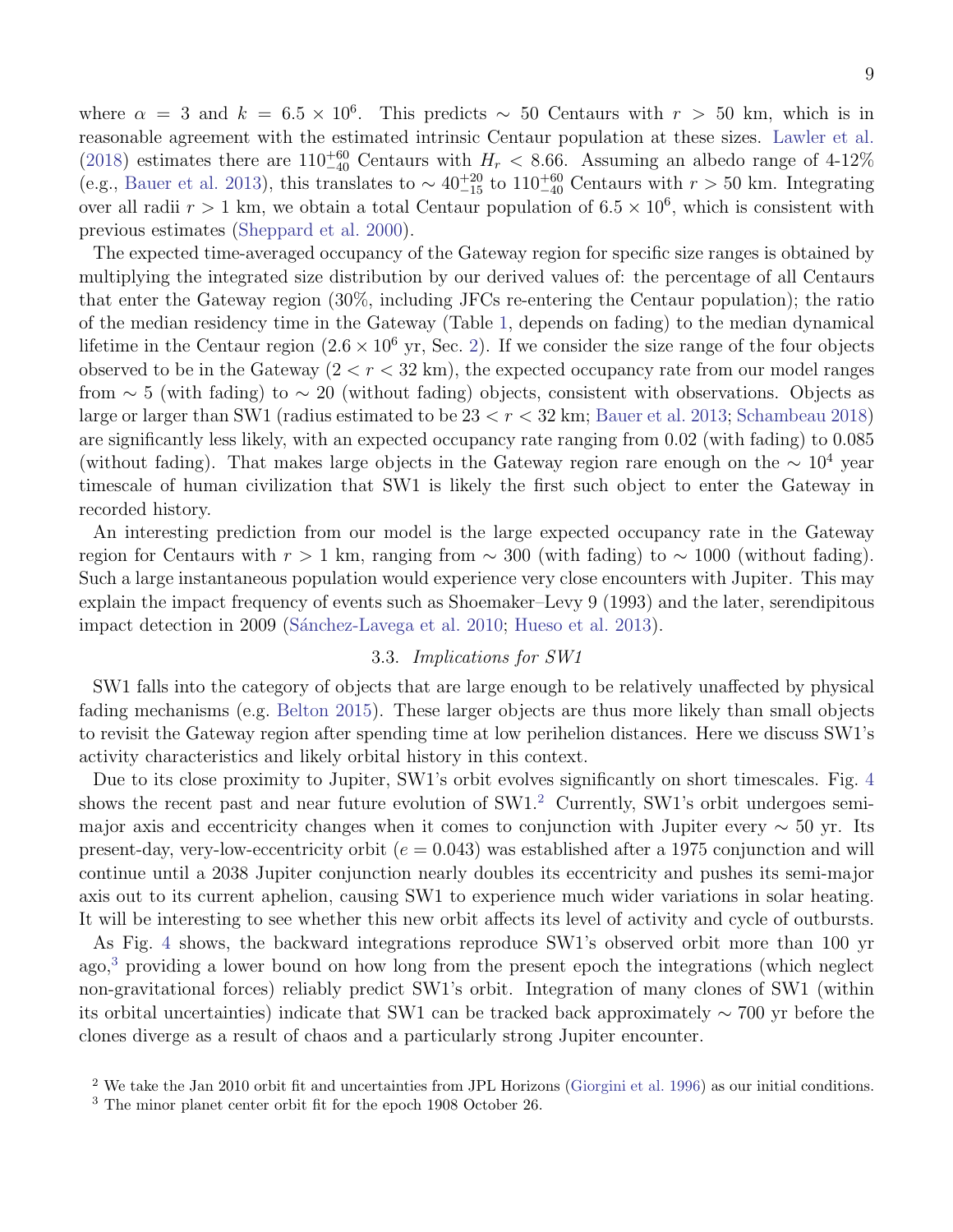where  $\alpha = 3$  and  $k = 6.5 \times 10^6$ . This predicts ~ 50 Centaurs with  $r > 50$  km, which is in reasonable agreement with the estimated intrinsic Centaur population at these sizes. [Lawler et al.](#page-11-23) [\(2018\)](#page-11-23) estimates there are  $110^{+60}_{-40}$  Centaurs with  $H_r < 8.66$ . Assuming an albedo range of 4-12% (e.g., [Bauer et al.](#page-10-4) [2013\)](#page-10-4), this translates to  $\sim 40^{+20}_{-15}$  to  $110^{+60}_{-40}$  Centaurs with  $r > 50$  km. Integrating over all radii  $r > 1$  km, we obtain a total Centaur population of  $6.5 \times 10^6$ , which is consistent with previous estimates [\(Sheppard et al.](#page-11-3) [2000\)](#page-11-3).

The expected time-averaged occupancy of the Gateway region for specific size ranges is obtained by multiplying the integrated size distribution by our derived values of: the percentage of all Centaurs that enter the Gateway region (30%, including JFCs re-entering the Centaur population); the ratio of the median residency time in the Gateway (Table [1,](#page-5-0) depends on fading) to the median dynamical lifetime in the Centaur region  $(2.6 \times 10^6 \text{ yr}, \text{Sec. 2})$ . If we consider the size range of the four objects observed to be in the Gateway  $(2 < r < 32 \text{ km})$ , the expected occupancy rate from our model ranges from  $\sim 5$  (with fading) to  $\sim 20$  (without fading) objects, consistent with observations. Objects as large or larger than SW1 (radius estimated to be 23 < r < 32 km; [Bauer et al.](#page-10-4) [2013;](#page-10-4) [Schambeau](#page-11-16) [2018\)](#page-11-16) are significantly less likely, with an expected occupancy rate ranging from 0.02 (with fading) to 0.085 (without fading). That makes large objects in the Gateway region rare enough on the  $\sim 10^4$  year timescale of human civilization that SW1 is likely the first such object to enter the Gateway in recorded history.

An interesting prediction from our model is the large expected occupancy rate in the Gateway region for Centaurs with  $r > 1$  km, ranging from  $\sim 300$  (with fading) to  $\sim 1000$  (without fading). Such a large instantaneous population would experience very close encounters with Jupiter. This may explain the impact frequency of events such as Shoemaker–Levy 9 (1993) and the later, serendipitous impact detection in 2009 (Sánchez-Lavega et al. [2010;](#page-11-34) [Hueso et al.](#page-11-35) [2013\)](#page-11-35).

# 3.3. Implications for SW1

SW1 falls into the category of objects that are large enough to be relatively unaffected by physical fading mechanisms (e.g. [Belton](#page-10-11) [2015\)](#page-10-11). These larger objects are thus more likely than small objects to revisit the Gateway region after spending time at low perihelion distances. Here we discuss SW1's activity characteristics and likely orbital history in this context.

Due to its close proximity to Jupiter, SW1's orbit evolves significantly on short timescales. Fig. [4](#page-9-0) shows the recent past and near future evolution of SW1.<sup>[2](#page-8-0)</sup> Currently, SW1's orbit undergoes semimajor axis and eccentricity changes when it comes to conjunction with Jupiter every  $\sim$  50 yr. Its present-day, very-low-eccentricity orbit ( $e = 0.043$ ) was established after a 1975 conjunction and will continue until a 2038 Jupiter conjunction nearly doubles its eccentricity and pushes its semi-major axis out to its current aphelion, causing SW1 to experience much wider variations in solar heating. It will be interesting to see whether this new orbit affects its level of activity and cycle of outbursts.

As Fig. [4](#page-9-0) shows, the backward integrations reproduce SW1's observed orbit more than 100 yr  $ago<sup>3</sup>$  $ago<sup>3</sup>$  $ago<sup>3</sup>$ , providing a lower bound on how long from the present epoch the integrations (which neglect non-gravitational forces) reliably predict SW1's orbit. Integration of many clones of SW1 (within its orbital uncertainties) indicate that SW1 can be tracked back approximately ∼ 700 yr before the clones diverge as a result of chaos and a particularly strong Jupiter encounter.

<span id="page-8-0"></span><sup>&</sup>lt;sup>2</sup> We take the Jan 2010 orbit fit and uncertainties from JPL Horizons [\(Giorgini et al.](#page-10-13) [1996\)](#page-10-13) as our initial conditions.

<span id="page-8-1"></span><sup>3</sup> The minor planet center orbit fit for the epoch 1908 October 26.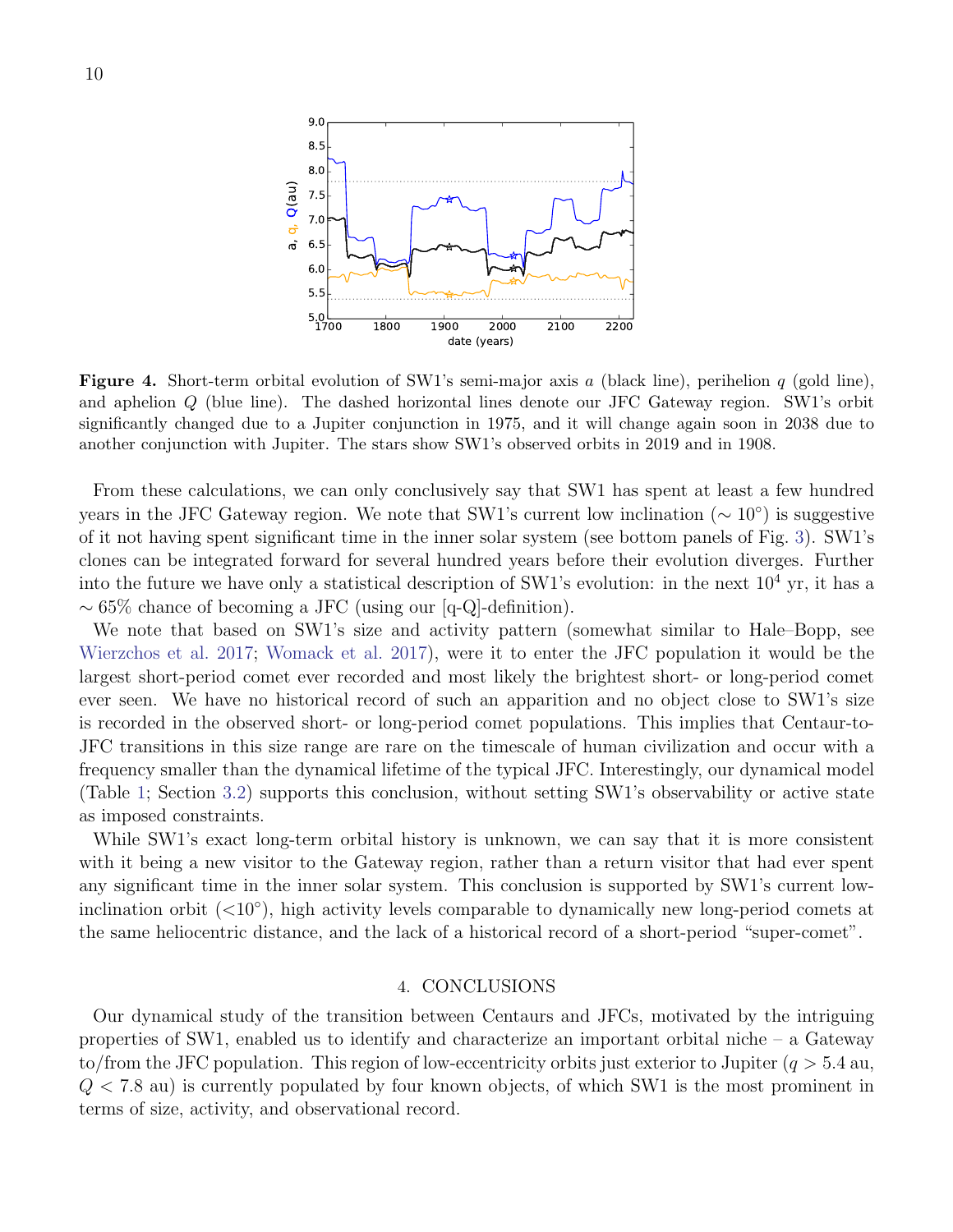

<span id="page-9-0"></span>**Figure 4.** Short-term orbital evolution of SW1's semi-major axis a (black line), perihelion  $q$  (gold line), and aphelion Q (blue line). The dashed horizontal lines denote our JFC Gateway region. SW1's orbit significantly changed due to a Jupiter conjunction in 1975, and it will change again soon in 2038 due to another conjunction with Jupiter. The stars show SW1's observed orbits in 2019 and in 1908.

From these calculations, we can only conclusively say that SW1 has spent at least a few hundred years in the JFC Gateway region. We note that SW1's current low inclination  $(\sim 10^{\circ})$  is suggestive of it not having spent significant time in the inner solar system (see bottom panels of Fig. [3\)](#page-6-0). SW1's clones can be integrated forward for several hundred years before their evolution diverges. Further into the future we have only a statistical description of SW1's evolution: in the next  $10^4$  yr, it has a ∼ 65% chance of becoming a JFC (using our [q-Q]-definition).

We note that based on SW1's size and activity pattern (somewhat similar to Hale–Bopp, see [Wierzchos et al.](#page-11-36) [2017;](#page-11-36) [Womack et al.](#page-11-10) [2017\)](#page-11-10), were it to enter the JFC population it would be the largest short-period comet ever recorded and most likely the brightest short- or long-period comet ever seen. We have no historical record of such an apparition and no object close to SW1's size is recorded in the observed short- or long-period comet populations. This implies that Centaur-to-JFC transitions in this size range are rare on the timescale of human civilization and occur with a frequency smaller than the dynamical lifetime of the typical JFC. Interestingly, our dynamical model (Table [1;](#page-5-0) Section [3.2\)](#page-7-0) supports this conclusion, without setting SW1's observability or active state as imposed constraints.

While SW1's exact long-term orbital history is unknown, we can say that it is more consistent with it being a new visitor to the Gateway region, rather than a return visitor that had ever spent any significant time in the inner solar system. This conclusion is supported by SW1's current lowinclination orbit  $(<10°)$ , high activity levels comparable to dynamically new long-period comets at the same heliocentric distance, and the lack of a historical record of a short-period "super-comet".

## 4. CONCLUSIONS

Our dynamical study of the transition between Centaurs and JFCs, motivated by the intriguing properties of SW1, enabled us to identify and characterize an important orbital niche – a Gateway to/from the JFC population. This region of low-eccentricity orbits just exterior to Jupiter ( $q > 5.4$  au,  $Q < 7.8$  au) is currently populated by four known objects, of which SW1 is the most prominent in terms of size, activity, and observational record.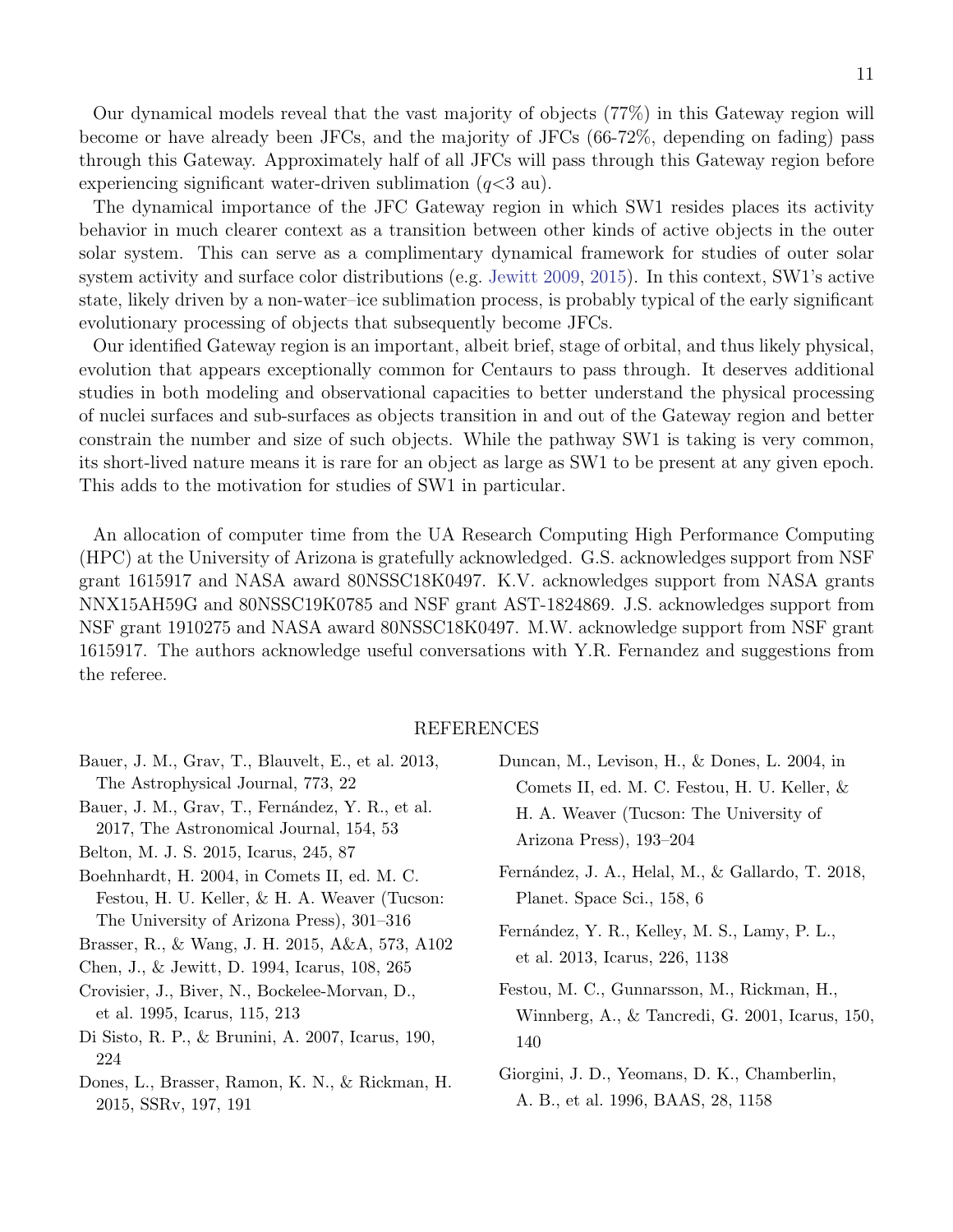Our dynamical models reveal that the vast majority of objects (77%) in this Gateway region will become or have already been JFCs, and the majority of JFCs (66-72%, depending on fading) pass through this Gateway. Approximately half of all JFCs will pass through this Gateway region before experiencing significant water-driven sublimation  $(q<3 \text{ au})$ .

The dynamical importance of the JFC Gateway region in which SW1 resides places its activity behavior in much clearer context as a transition between other kinds of active objects in the outer solar system. This can serve as a complimentary dynamical framework for studies of outer solar system activity and surface color distributions (e.g. [Jewitt](#page-11-1) [2009,](#page-11-1) [2015\)](#page-11-37). In this context, SW1's active state, likely driven by a non-water–ice sublimation process, is probably typical of the early significant evolutionary processing of objects that subsequently become JFCs.

Our identified Gateway region is an important, albeit brief, stage of orbital, and thus likely physical, evolution that appears exceptionally common for Centaurs to pass through. It deserves additional studies in both modeling and observational capacities to better understand the physical processing of nuclei surfaces and sub-surfaces as objects transition in and out of the Gateway region and better constrain the number and size of such objects. While the pathway SW1 is taking is very common, its short-lived nature means it is rare for an object as large as SW1 to be present at any given epoch. This adds to the motivation for studies of SW1 in particular.

An allocation of computer time from the UA Research Computing High Performance Computing (HPC) at the University of Arizona is gratefully acknowledged. G.S. acknowledges support from NSF grant 1615917 and NASA award 80NSSC18K0497. K.V. acknowledges support from NASA grants NNX15AH59G and 80NSSC19K0785 and NSF grant AST-1824869. J.S. acknowledges support from NSF grant 1910275 and NASA award 80NSSC18K0497. M.W. acknowledge support from NSF grant 1615917. The authors acknowledge useful conversations with Y.R. Fernandez and suggestions from the referee.

# REFERENCES

- <span id="page-10-4"></span>Bauer, J. M., Grav, T., Blauvelt, E., et al. 2013, The Astrophysical Journal, 773, 22 Bauer, J. M., Grav, T., Fernández, Y. R., et al.
- <span id="page-10-5"></span>2017, The Astronomical Journal, 154, 53
- <span id="page-10-11"></span>Belton, M. J. S. 2015, Icarus, 245, 87
- <span id="page-10-10"></span>Boehnhardt, H. 2004, in Comets II, ed. M. C. Festou, H. U. Keller, & H. A. Weaver (Tucson: The University of Arizona Press), 301–316
- <span id="page-10-8"></span>Brasser, R., & Wang, J. H. 2015, A&A, 573, A102
- <span id="page-10-9"></span>Chen, J., & Jewitt, D. 1994, Icarus, 108, 265
- <span id="page-10-6"></span>Crovisier, J., Biver, N., Bockelee-Morvan, D., et al. 1995, Icarus, 115, 213
- <span id="page-10-1"></span>Di Sisto, R. P., & Brunini, A. 2007, Icarus, 190, 224
- <span id="page-10-2"></span>Dones, L., Brasser, Ramon, K. N., & Rickman, H. 2015, SSRv, 197, 191
- <span id="page-10-0"></span>Duncan, M., Levison, H., & Dones, L. 2004, in Comets II, ed. M. C. Festou, H. U. Keller, & H. A. Weaver (Tucson: The University of Arizona Press), 193–204
- <span id="page-10-3"></span>Fernández, J. A., Helal, M., & Gallardo, T. 2018, Planet. Space Sci., 158, 6
- <span id="page-10-12"></span>Fernández, Y. R., Kelley, M. S., Lamy, P. L., et al. 2013, Icarus, 226, 1138
- <span id="page-10-7"></span>Festou, M. C., Gunnarsson, M., Rickman, H., Winnberg, A., & Tancredi, G. 2001, Icarus, 150, 140
- <span id="page-10-13"></span>Giorgini, J. D., Yeomans, D. K., Chamberlin, A. B., et al. 1996, BAAS, 28, 1158